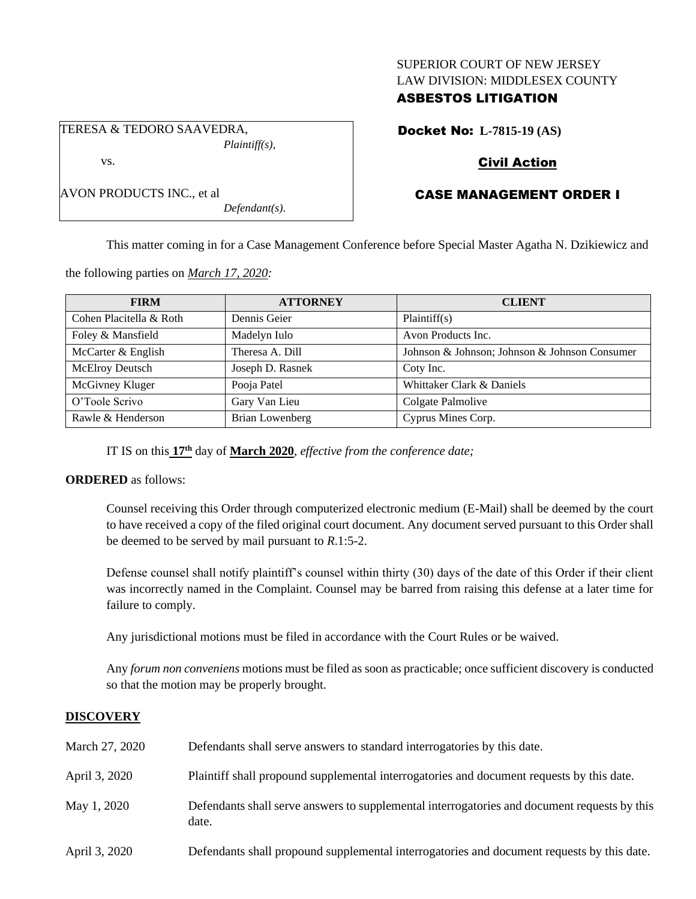## SUPERIOR COURT OF NEW JERSEY LAW DIVISION: MIDDLESEX COUNTY

# ASBESTOS LITIGATION

TERESA & TEDORO SAAVEDRA, *Plaintiff(s),* vs.

AVON PRODUCTS INC., et al

# Docket No: **L-7815-19 (AS)**

# Civil Action

# CASE MANAGEMENT ORDER I

This matter coming in for a Case Management Conference before Special Master Agatha N. Dzikiewicz and

the following parties on *March 17, 2020:*

| <b>FIRM</b>             | <b>ATTORNEY</b>  | <b>CLIENT</b>                                 |
|-------------------------|------------------|-----------------------------------------------|
| Cohen Placitella & Roth | Dennis Geier     | Plaintiff(s)                                  |
| Foley & Mansfield       | Madelyn Iulo     | Avon Products Inc.                            |
| McCarter & English      | Theresa A. Dill  | Johnson & Johnson; Johnson & Johnson Consumer |
| McElroy Deutsch         | Joseph D. Rasnek | Coty Inc.                                     |
| McGivney Kluger         | Pooja Patel      | Whittaker Clark & Daniels                     |
| O'Toole Scrivo          | Gary Van Lieu    | Colgate Palmolive                             |
| Rawle & Henderson       | Brian Lowenberg  | Cyprus Mines Corp.                            |

IT IS on this **17th** day of **March 2020**, *effective from the conference date;*

*Defendant(s).*

## **ORDERED** as follows:

Counsel receiving this Order through computerized electronic medium (E-Mail) shall be deemed by the court to have received a copy of the filed original court document. Any document served pursuant to this Order shall be deemed to be served by mail pursuant to *R*.1:5-2.

Defense counsel shall notify plaintiff's counsel within thirty (30) days of the date of this Order if their client was incorrectly named in the Complaint. Counsel may be barred from raising this defense at a later time for failure to comply.

Any jurisdictional motions must be filed in accordance with the Court Rules or be waived.

Any *forum non conveniens* motions must be filed as soon as practicable; once sufficient discovery is conducted so that the motion may be properly brought.

## **DISCOVERY**

| March 27, 2020 | Defendants shall serve answers to standard interrogatories by this date.                              |
|----------------|-------------------------------------------------------------------------------------------------------|
| April 3, 2020  | Plaintiff shall propound supplemental interrogatories and document requests by this date.             |
| May 1, 2020    | Defendants shall serve answers to supplemental interrogatories and document requests by this<br>date. |
| April 3, 2020  | Defendants shall propound supplemental interrogatories and document requests by this date.            |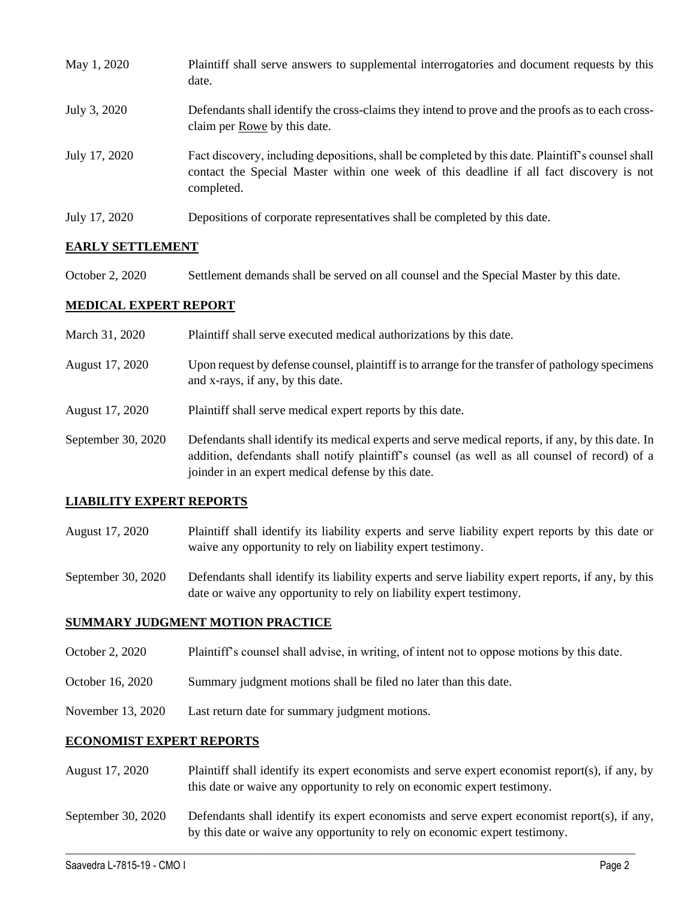| May 1, 2020   | Plaintiff shall serve answers to supplemental interrogatories and document requests by this<br>date.                                                                                                        |
|---------------|-------------------------------------------------------------------------------------------------------------------------------------------------------------------------------------------------------------|
| July 3, 2020  | Defendants shall identify the cross-claims they intend to prove and the proofs as to each cross-<br>claim per Rowe by this date.                                                                            |
| July 17, 2020 | Fact discovery, including depositions, shall be completed by this date. Plaintiff's counsel shall<br>contact the Special Master within one week of this deadline if all fact discovery is not<br>completed. |
| July 17, 2020 | Depositions of corporate representatives shall be completed by this date.                                                                                                                                   |

## **EARLY SETTLEMENT**

October 2, 2020 Settlement demands shall be served on all counsel and the Special Master by this date.

## **MEDICAL EXPERT REPORT**

- March 31, 2020 Plaintiff shall serve executed medical authorizations by this date.
- August 17, 2020 Upon request by defense counsel, plaintiff is to arrange for the transfer of pathology specimens and x-rays, if any, by this date.
- August 17, 2020 Plaintiff shall serve medical expert reports by this date.
- September 30, 2020 Defendants shall identify its medical experts and serve medical reports, if any, by this date. In addition, defendants shall notify plaintiff's counsel (as well as all counsel of record) of a joinder in an expert medical defense by this date.

### **LIABILITY EXPERT REPORTS**

August 17, 2020 Plaintiff shall identify its liability experts and serve liability expert reports by this date or waive any opportunity to rely on liability expert testimony.

September 30, 2020 Defendants shall identify its liability experts and serve liability expert reports, if any, by this date or waive any opportunity to rely on liability expert testimony.

### **SUMMARY JUDGMENT MOTION PRACTICE**

- October 2, 2020 Plaintiff's counsel shall advise, in writing, of intent not to oppose motions by this date.
- October 16, 2020 Summary judgment motions shall be filed no later than this date.
- November 13, 2020 Last return date for summary judgment motions.

### **ECONOMIST EXPERT REPORTS**

- August 17, 2020 Plaintiff shall identify its expert economists and serve expert economist report(s), if any, by this date or waive any opportunity to rely on economic expert testimony.
- September 30, 2020 Defendants shall identify its expert economists and serve expert economist report(s), if any, by this date or waive any opportunity to rely on economic expert testimony.

 $\_$  , and the set of the set of the set of the set of the set of the set of the set of the set of the set of the set of the set of the set of the set of the set of the set of the set of the set of the set of the set of th